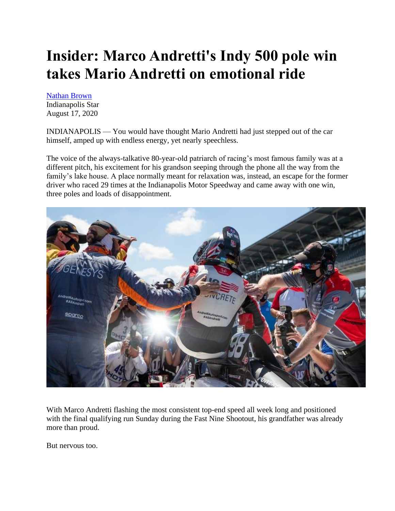## **Insider: Marco Andretti's Indy 500 pole win takes Mario Andretti on emotional ride**

[Nathan Brown](https://www.indystar.com/staff/2684108001/nathan-brown/)

Indianapolis Star August 17, 2020

INDIANAPOLIS — You would have thought Mario Andretti had just stepped out of the car himself, amped up with endless energy, yet nearly speechless.

The voice of the always-talkative 80-year-old patriarch of racing's most famous family was at a different pitch, his excitement for his grandson seeping through the phone all the way from the family's lake house. A place normally meant for relaxation was, instead, an escape for the former driver who raced 29 times at the Indianapolis Motor Speedway and came away with one win, three poles and loads of disappointment.



With Marco Andretti flashing the most consistent top-end speed all week long and positioned with the final qualifying run Sunday during the Fast Nine Shootout, his grandfather was already more than proud.

But nervous too.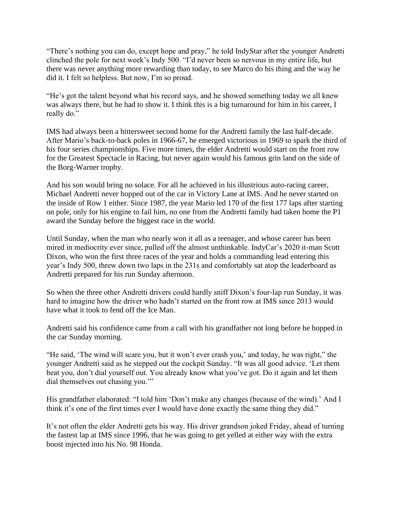"There's nothing you can do, except hope and pray," he told IndyStar after the younger Andretti clinched the pole for next week's Indy 500. "I'd never been so nervous in my entire life, but there was never anything more rewarding than today, to see Marco do his thing and the way he did it. I felt so helpless. But now, I'm so proud.

"He's got the talent beyond what his record says, and he showed something today we all knew was always there, but he had to show it. I think this is a big turnaround for him in his career, I really do."

IMS had always been a bittersweet second home for the Andretti family the last half-decade. After Mario's back-to-back poles in 1966-67, he emerged victorious in 1969 to spark the third of his four series championships. Five more times, the elder Andretti would start on the front row for the Greatest Spectacle in Racing, but never again would his famous grin land on the side of the Borg-Warner trophy.

And his son would bring no solace. For all he achieved in his illustrious auto-racing career, Michael Andretti never hopped out of the car in Victory Lane at IMS. And he never started on the inside of Row 1 either. Since 1987, the year Mario led 170 of the first 177 laps after starting on pole, only for his engine to fail him, no one from the Andretti family had taken home the P1 award the Sunday before the biggest race in the world.

Until Sunday, when the man who nearly won it all as a teenager, and whose career has been mired in mediocrity ever since, pulled off the almost unthinkable. IndyCar's 2020 it-man Scott Dixon, who won the first three races of the year and holds a commanding lead entering this year's Indy 500, threw down two laps in the 231s and comfortably sat atop the leaderboard as Andretti prepared for his run Sunday afternoon.

So when the three other Andretti drivers could hardly sniff Dixon's four-lap run Sunday, it was hard to imagine how the driver who hadn't started on the front row at IMS since 2013 would have what it took to fend off the Ice Man.

Andretti said his confidence came from a call with his grandfather not long before he hopped in the car Sunday morning.

"He said, 'The wind will scare you, but it won't ever crash you,' and today, he was right," the younger Andretti said as he stepped out the cockpit Sunday. "It was all good advice. 'Let them beat you, don't dial yourself out. You already know what you've got. Do it again and let them dial themselves out chasing you.'"

His grandfather elaborated: "I told him 'Don't make any changes (because of the wind).' And I think it's one of the first times ever I would have done exactly the same thing they did."

It's not often the elder Andretti gets his way. His driver grandson joked Friday, ahead of turning the fastest lap at IMS since 1996, that he was going to get yelled at either way with the extra boost injected into his No. 98 Honda.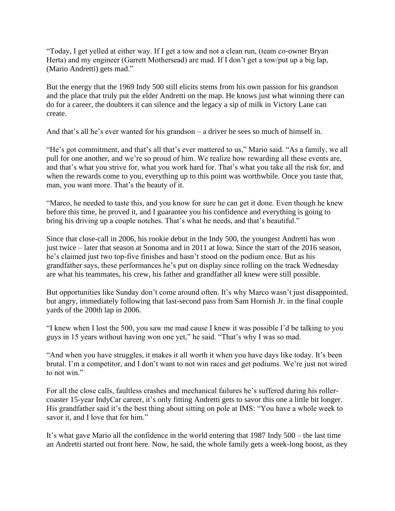"Today, I get yelled at either way. If I get a tow and not a clean run, (team co-owner Bryan Herta) and my engineer (Garrett Mothersead) are mad. If I don't get a tow/put up a big lap, (Mario Andretti) gets mad."

But the energy that the 1969 Indy 500 still elicits stems from his own passion for his grandson and the place that truly put the elder Andretti on the map. He knows just what winning there can do for a career, the doubters it can silence and the legacy a sip of milk in Victory Lane can create.

And that's all he's ever wanted for his grandson – a driver he sees so much of himself in.

"He's got commitment, and that's all that's ever mattered to us," Mario said. "As a family, we all pull for one another, and we're so proud of him. We realize how rewarding all these events are, and that's what you strive for, what you work hard for. That's what you take all the risk for, and when the rewards come to you, everything up to this point was worthwhile. Once you taste that, man, you want more. That's the beauty of it.

"Marco, he needed to taste this, and you know for sure he can get it done. Even though he knew before this time, he proved it, and I guarantee you his confidence and everything is going to bring his driving up a couple notches. That's what he needs, and that's beautiful."

Since that close-call in 2006, his rookie debut in the Indy 500, the youngest Andretti has won just twice – later that season at Sonoma and in 2011 at Iowa. Since the start of the 2016 season, he's claimed just two top-five finishes and hasn't stood on the podium once. But as his grandfather says, these performances he's put on display since rolling on the track Wednesday are what his teammates, his crew, his father and grandfather all knew were still possible.

But opportunities like Sunday don't come around often. It's why Marco wasn't just disappointed, but angry, immediately following that last-second pass from Sam Hornish Jr. in the final couple yards of the 200th lap in 2006.

"I knew when I lost the 500, you saw me mad cause I knew it was possible I'd be talking to you guys in 15 years without having won one yet," he said. "That's why I was so mad.

"And when you have struggles, it makes it all worth it when you have days like today. It's been brutal. I'm a competitor, and I don't want to not win races and get podiums. We're just not wired to not win."

For all the close calls, faultless crashes and mechanical failures he's suffered during his rollercoaster 15-year IndyCar career, it's only fitting Andretti gets to savor this one a little bit longer. His grandfather said it's the best thing about sitting on pole at IMS: "You have a whole week to savor it, and I love that for him."

It's what gave Mario all the confidence in the world entering that 1987 Indy 500 – the last time an Andretti started out front here. Now, he said, the whole family gets a week-long boost, as they